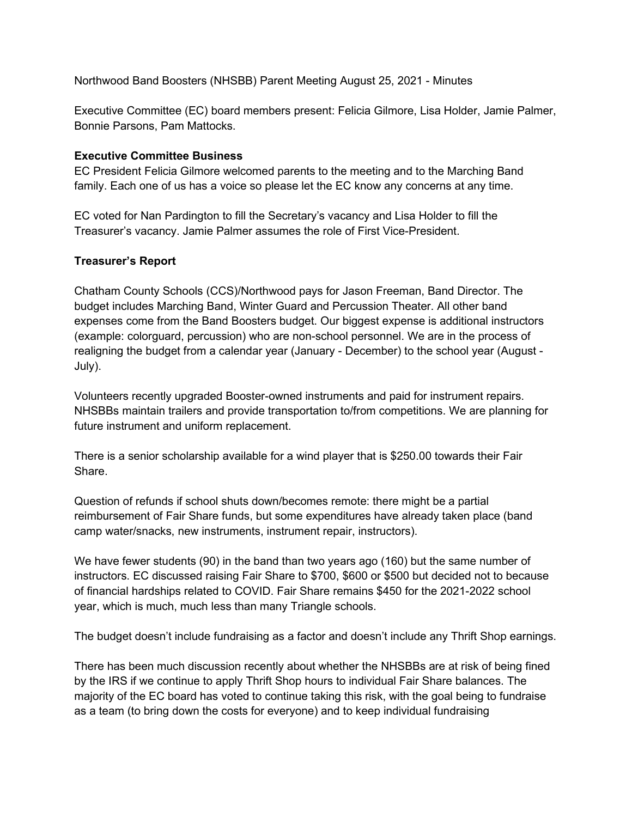Northwood Band Boosters (NHSBB) Parent Meeting August 25, 2021 - Minutes

Executive Committee (EC) board members present: Felicia Gilmore, Lisa Holder, Jamie Palmer, Bonnie Parsons, Pam Mattocks.

## **Executive Committee Business**

EC President Felicia Gilmore welcomed parents to the meeting and to the Marching Band family. Each one of us has a voice so please let the EC know any concerns at any time.

EC voted for Nan Pardington to fill the Secretary's vacancy and Lisa Holder to fill the Treasurer's vacancy. Jamie Palmer assumes the role of First Vice-President.

## **Treasurer's Report**

Chatham County Schools (CCS)/Northwood pays for Jason Freeman, Band Director. The budget includes Marching Band, Winter Guard and Percussion Theater. All other band expenses come from the Band Boosters budget. Our biggest expense is additional instructors (example: colorguard, percussion) who are non-school personnel. We are in the process of realigning the budget from a calendar year (January - December) to the school year (August - July).

Volunteers recently upgraded Booster-owned instruments and paid for instrument repairs. NHSBBs maintain trailers and provide transportation to/from competitions. We are planning for future instrument and uniform replacement.

There is a senior scholarship available for a wind player that is \$250.00 towards their Fair Share.

Question of refunds if school shuts down/becomes remote: there might be a partial reimbursement of Fair Share funds, but some expenditures have already taken place (band camp water/snacks, new instruments, instrument repair, instructors).

We have fewer students (90) in the band than two years ago (160) but the same number of instructors. EC discussed raising Fair Share to \$700, \$600 or \$500 but decided not to because of financial hardships related to COVID. Fair Share remains \$450 for the 2021-2022 school year, which is much, much less than many Triangle schools.

The budget doesn't include fundraising as a factor and doesn't include any Thrift Shop earnings.

There has been much discussion recently about whether the NHSBBs are at risk of being fined by the IRS if we continue to apply Thrift Shop hours to individual Fair Share balances. The majority of the EC board has voted to continue taking this risk, with the goal being to fundraise as a team (to bring down the costs for everyone) and to keep individual fundraising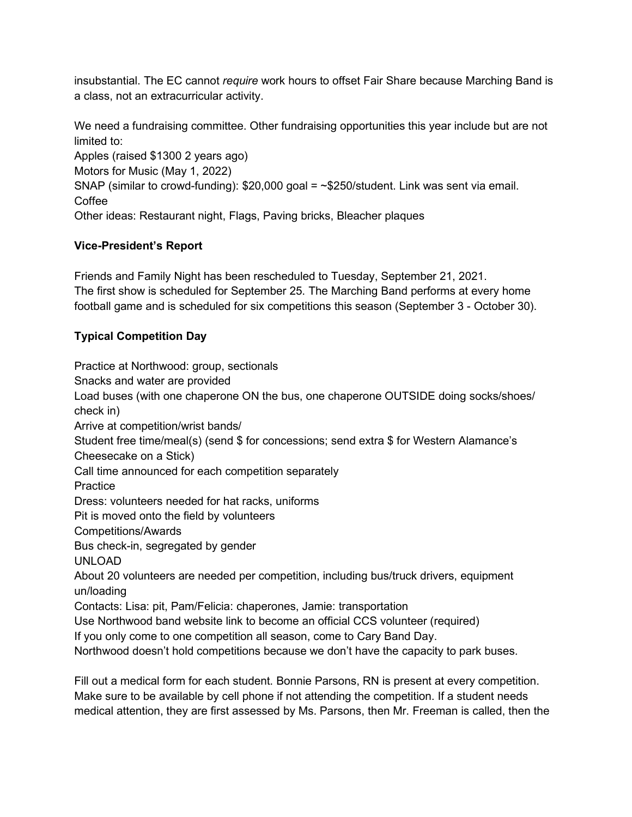insubstantial. The EC cannot *require* work hours to offset Fair Share because Marching Band is a class, not an extracurricular activity.

We need a fundraising committee. Other fundraising opportunities this year include but are not limited to:

Apples (raised \$1300 2 years ago) Motors for Music (May 1, 2022) SNAP (similar to crowd-funding):  $$20,000$  goal =  $\sim$ \$250/student. Link was sent via email. Coffee Other ideas: Restaurant night, Flags, Paving bricks, Bleacher plaques

## **Vice-President's Report**

Friends and Family Night has been rescheduled to Tuesday, September 21, 2021. The first show is scheduled for September 25. The Marching Band performs at every home football game and is scheduled for six competitions this season (September 3 - October 30).

## **Typical Competition Day**

Practice at Northwood: group, sectionals Snacks and water are provided Load buses (with one chaperone ON the bus, one chaperone OUTSIDE doing socks/shoes/ check in) Arrive at competition/wrist bands/ Student free time/meal(s) (send \$ for concessions; send extra \$ for Western Alamance's Cheesecake on a Stick) Call time announced for each competition separately **Practice** Dress: volunteers needed for hat racks, uniforms Pit is moved onto the field by volunteers Competitions/Awards Bus check-in, segregated by gender UNLOAD About 20 volunteers are needed per competition, including bus/truck drivers, equipment un/loading Contacts: Lisa: pit, Pam/Felicia: chaperones, Jamie: transportation Use Northwood band website link to become an official CCS volunteer (required) If you only come to one competition all season, come to Cary Band Day. Northwood doesn't hold competitions because we don't have the capacity to park buses.

Fill out a medical form for each student. Bonnie Parsons, RN is present at every competition. Make sure to be available by cell phone if not attending the competition. If a student needs medical attention, they are first assessed by Ms. Parsons, then Mr. Freeman is called, then the